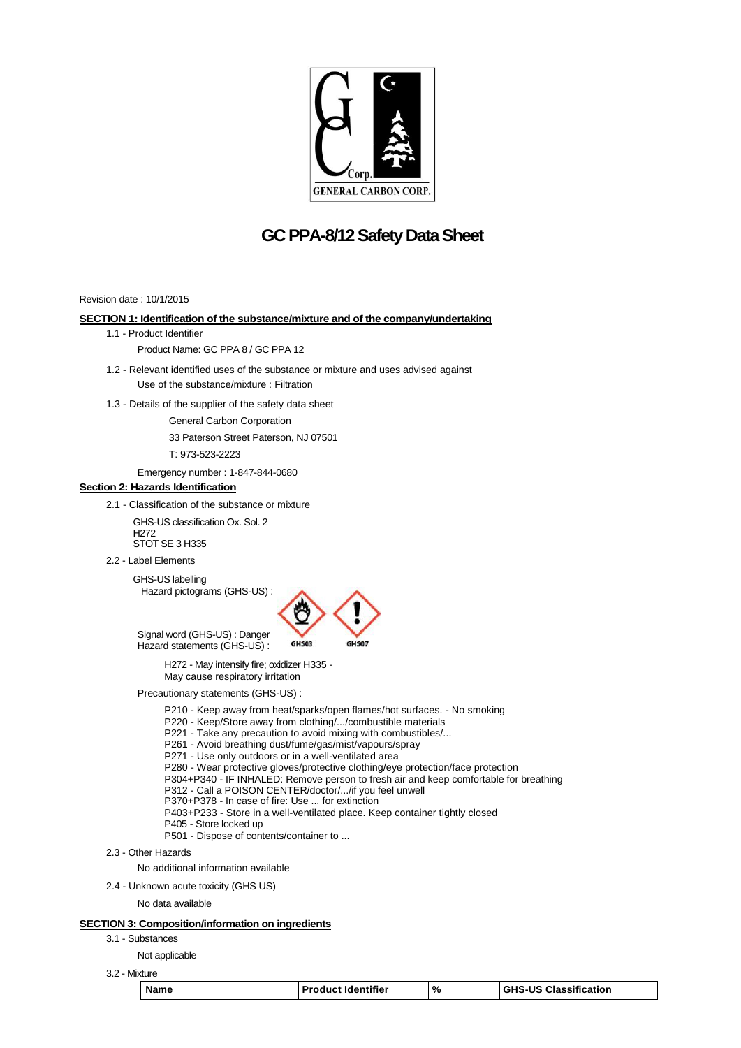

# **GC PPA-8/12Safety Data Sheet**

Revision date : 10/1/2015

### **SECTION 1: Identification of the substance/mixture and of the company/undertaking**

1.1 - Product Identifier

Product Name: GC PPA 8 / GC PPA 12

- 1.2 Relevant identified uses of the substance or mixture and uses advised against Use of the substance/mixture : Filtration
- 1.3 Details of the supplier of the safety data sheet

General Carbon Corporation

33 Paterson Street Paterson, NJ 07501

T: 973-523-2223

Emergency number : 1-847-844-0680

# **Section 2: Hazards Identification**

2.1 - Classification of the substance or mixture

GHS-US classification Ox. Sol. 2 H272 STOT SE 3 H335

2.2 - Label Elements

GHS-US labelling Hazard pictograms (GHS-US) :



Signal word (GHS-US) : Danger Hazard statements (GHS-US) :

> H272 - May intensify fire; oxidizer H335 - May cause respiratory irritation

Precautionary statements (GHS-US) :

P210 - Keep away from heat/sparks/open flames/hot surfaces. - No smoking

P220 - Keep/Store away from clothing/.../combustible materials

P221 - Take any precaution to avoid mixing with combustibles/...

P261 - Avoid breathing dust/fume/gas/mist/vapours/spray

P271 - Use only outdoors or in a well-ventilated area

P280 - Wear protective gloves/protective clothing/eye protection/face protection

P304+P340 - IF INHALED: Remove person to fresh air and keep comfortable for breathing

P312 - Call a POISON CENTER/doctor/.../if you feel unwell

P370+P378 - In case of fire: Use ... for extinction

P403+P233 - Store in a well-ventilated place. Keep container tightly closed

P405 - Store locked up P501 - Dispose of contents/container to ...

2.3 - Other Hazards

No additional information available

2.4 - Unknown acute toxicity (GHS US)

No data available

# **SECTION 3: Composition/information on ingredients**

3.1 - Substances

Not applicable

3.2 - Mixture

| п<br>А |  |
|--------|--|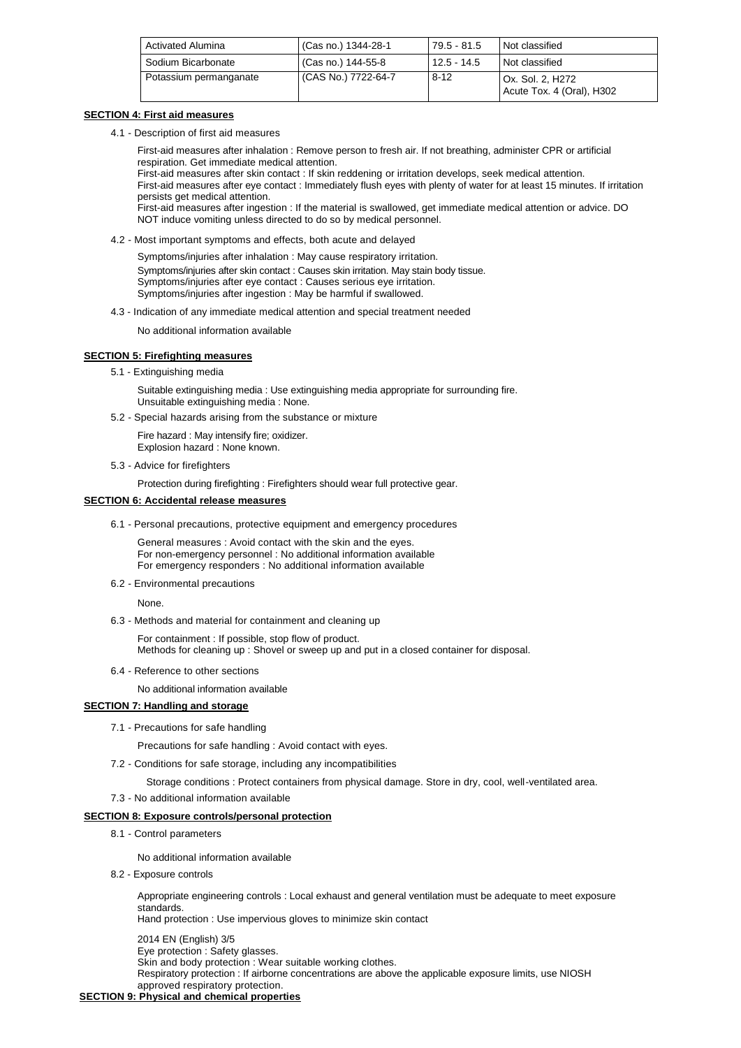| <b>Activated Alumina</b> | (Cas no.) 1344-28-1 | 79.5 - 81.5   | Not classified                                |
|--------------------------|---------------------|---------------|-----------------------------------------------|
| Sodium Bicarbonate       | (Cas no.) 144-55-8  | $12.5 - 14.5$ | Not classified                                |
| Potassium permanganate   | (CAS No.) 7722-64-7 | $8 - 12$      | Ox. Sol. 2. H272<br>Acute Tox. 4 (Oral), H302 |

### **SECTION 4: First aid measures**

4.1 - Description of first aid measures

First-aid measures after inhalation : Remove person to fresh air. If not breathing, administer CPR or artificial respiration. Get immediate medical attention.

First-aid measures after skin contact : If skin reddening or irritation develops, seek medical attention. First-aid measures after eye contact : Immediately flush eyes with plenty of water for at least 15 minutes. If irritation persists get medical attention. First-aid measures after ingestion : If the material is swallowed, get immediate medical attention or advice. DO NOT induce vomiting unless directed to do so by medical personnel.

4.2 - Most important symptoms and effects, both acute and delayed

Symptoms/injuries after inhalation : May cause respiratory irritation. Symptoms/injuries after skin contact : Causes skin irritation. May stain body tissue. Symptoms/injuries after eye contact : Causes serious eye irritation. Symptoms/injuries after ingestion : May be harmful if swallowed.

4.3 - Indication of any immediate medical attention and special treatment needed

No additional information available

## **SECTION 5: Firefighting measures**

5.1 - Extinguishing media

Suitable extinguishing media : Use extinguishing media appropriate for surrounding fire. Unsuitable extinguishing media : None.

5.2 - Special hazards arising from the substance or mixture

Fire hazard : May intensify fire; oxidizer. Explosion hazard : None known.

5.3 - Advice for firefighters

Protection during firefighting : Firefighters should wear full protective gear.

### **SECTION 6: Accidental release measures**

6.1 - Personal precautions, protective equipment and emergency procedures

General measures : Avoid contact with the skin and the eyes. For non-emergency personnel : No additional information available For emergency responders : No additional information available

6.2 - Environmental precautions

None.

6.3 - Methods and material for containment and cleaning up

For containment : If possible, stop flow of product. Methods for cleaning up : Shovel or sweep up and put in a closed container for disposal.

6.4 - Reference to other sections

No additional information available

### **SECTION 7: Handling and storage**

7.1 - Precautions for safe handling

Precautions for safe handling : Avoid contact with eyes.

- 7.2 Conditions for safe storage, including any incompatibilities
	- Storage conditions : Protect containers from physical damage. Store in dry, cool, well-ventilated area.
- 7.3 No additional information available

### **SECTION 8: Exposure controls/personal protection**

8.1 - Control parameters

No additional information available

8.2 - Exposure controls

Appropriate engineering controls : Local exhaust and general ventilation must be adequate to meet exposure standards.

Hand protection : Use impervious gloves to minimize skin contact

2014 EN (English) 3/5 Eye protection : Safety glasses. Skin and body protection : Wear suitable working clothes. Respiratory protection : If airborne concentrations are above the applicable exposure limits, use NIOSH approved respiratory protection.

### **SECTION 9: Physical and chemical properties**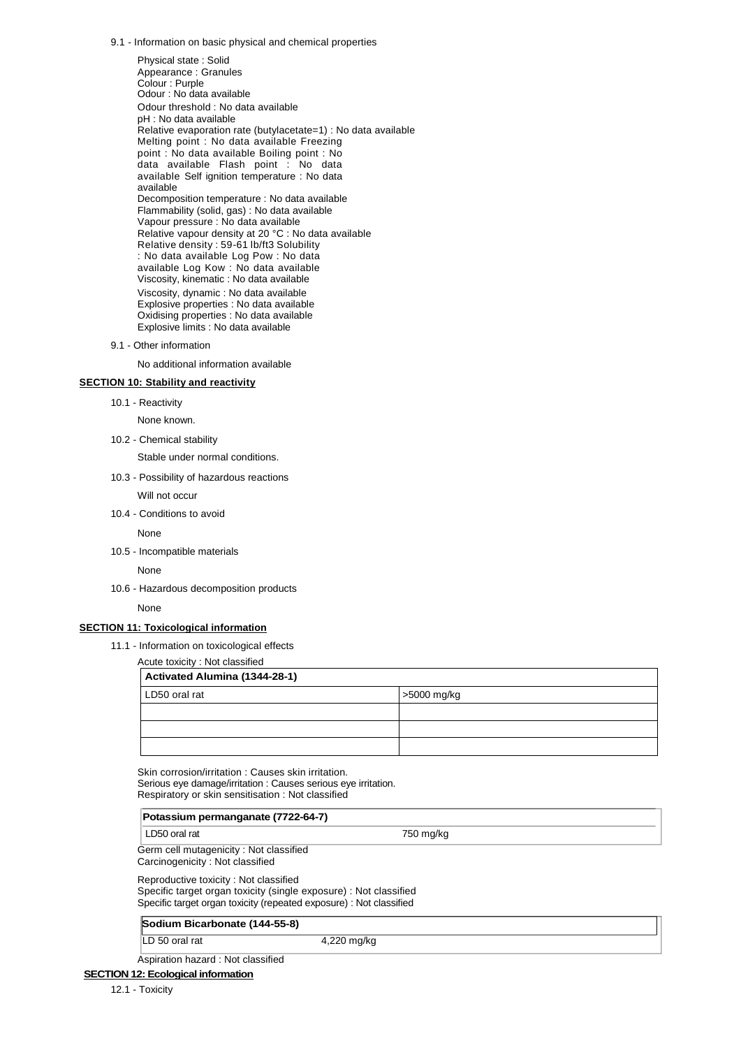9.1 - Information on basic physical and chemical properties

Physical state : Solid Appearance : Granules Colour : Purple Odour : No data available Odour threshold : No data available pH : No data available Relative evaporation rate (butylacetate=1) : No data available Melting point : No data available Freezing point : No data available Boiling point : No data available Flash point : No data available Self ignition temperature : No data available Decomposition temperature : No data available Flammability (solid, gas) : No data available Vapour pressure : No data available Relative vapour density at 20 °C : No data available Relative density : 59-61 lb/ft3 Solubility : No data available Log Pow : No data available Log Kow : No data available Viscosity, kinematic : No data available Viscosity, dynamic : No data available Explosive properties : No data available Oxidising properties : No data available Explosive limits : No data available

9.1 - Other information

No additional information available

# **SECTION 10: Stability and reactivity**

10.1 - Reactivity

None known.

10.2 - Chemical stability

Stable under normal conditions.

- 10.3 Possibility of hazardous reactions Will not occur
- 10.4 Conditions to avoid

None

10.5 - Incompatible materials

None

10.6 - Hazardous decomposition products

None

#### **SECTION 11: Toxicological information**

11.1 - Information on toxicological effects

Acute toxicity : Not classified

| Activated Alumina (1344-28-1) |             |  |  |  |
|-------------------------------|-------------|--|--|--|
| LD50 oral rat                 | >5000 mg/kg |  |  |  |
|                               |             |  |  |  |
|                               |             |  |  |  |
|                               |             |  |  |  |

Skin corrosion/irritation : Causes skin irritation. Serious eye damage/irritation : Causes serious eye irritation. Respiratory or skin sensitisation : Not classified

| Potassium permanganate (7722-64-7)                                        |           |  |
|---------------------------------------------------------------------------|-----------|--|
| LD50 oral rat                                                             | 750 mg/kg |  |
| Germ cell mutagenicity: Not classified<br>Carcinogenicity: Not classified |           |  |

Reproductive toxicity : Not classified Specific target organ toxicity (single exposure) : Not classified Specific target organ toxicity (repeated exposure) : Not classified

#### **Sodium Bicarbonate (144-55-8)**

LD 50 oral rat 4,220 mg/kg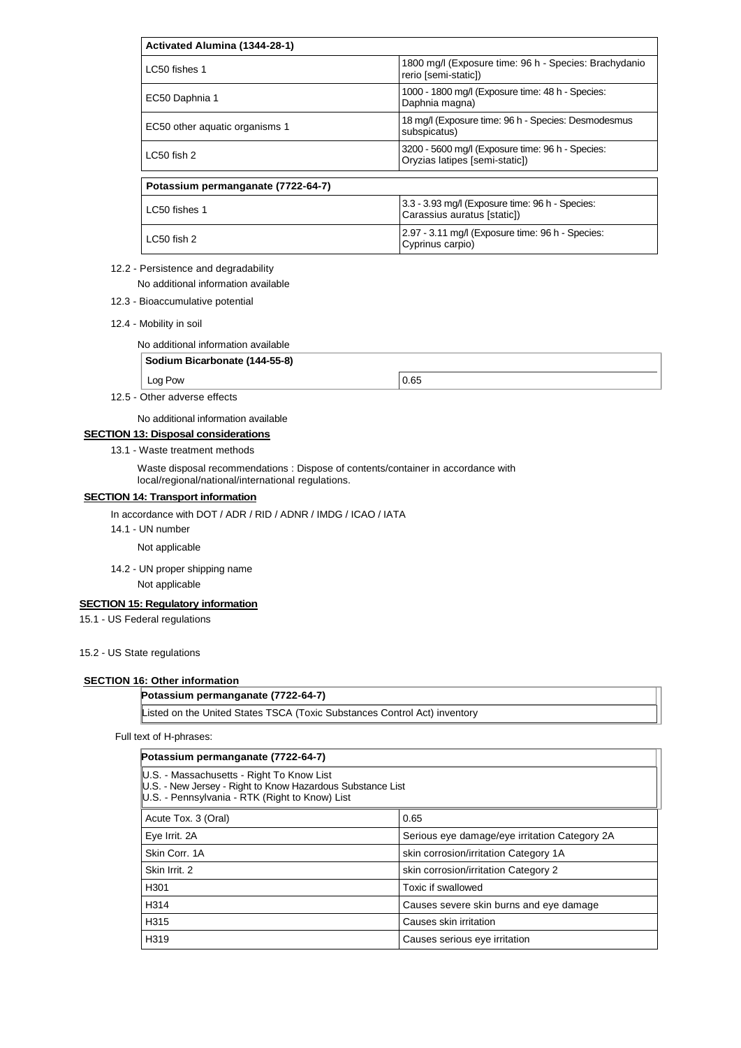| Activated Alumina (1344-28-1)      |                                                                                    |  |  |  |
|------------------------------------|------------------------------------------------------------------------------------|--|--|--|
| LC50 fishes 1                      | 1800 mg/l (Exposure time: 96 h - Species: Brachydanio<br>rerio [semi-static])      |  |  |  |
| EC50 Daphnia 1                     | 1000 - 1800 mg/l (Exposure time: 48 h - Species:<br>Daphnia magna)                 |  |  |  |
| EC50 other aquatic organisms 1     | 18 mg/l (Exposure time: 96 h - Species: Desmodesmus<br>subspicatus)                |  |  |  |
| $LC50$ fish $2$                    | 3200 - 5600 mg/l (Exposure time: 96 h - Species:<br>Oryzias latipes [semi-static]) |  |  |  |
| Potassium permanganate (7722-64-7) |                                                                                    |  |  |  |
| LC50 fishes 1                      | 3.3 - 3.93 mg/l (Exposure time: 96 h - Species:<br>Carassius auratus [static])     |  |  |  |
| LC50 fish 2                        | 2.97 - 3.11 mg/l (Exposure time: 96 h - Species:<br>$C$ <i>vorinus corpio)</i>     |  |  |  |

### 12.2 - Persistence and degradability

No additional information available

- 12.3 Bioaccumulative potential
- 12.4 Mobility in soil

No additional information available

# **Sodium Bicarbonate (144-55-8)**

 $\log$  Pow  $\Big|0.65$ 

Cyprinus carpio)

12.5 - Other adverse effects

No additional information available

# **SECTION 13: Disposal considerations**

13.1 - Waste treatment methods

Waste disposal recommendations : Dispose of contents/container in accordance with local/regional/national/international regulations.

# **SECTION 14: Transport information**

In accordance with DOT / ADR / RID / ADNR / IMDG / ICAO / IATA

14.1 - UN number

Not applicable

14.2 - UN proper shipping name

Not applicable

# **SECTION 15: Regulatory information**

15.1 - US Federal regulations

### 15.2 - US State regulations

### **SECTION 16: Other information**

**Potassium permanganate (7722-64-7)**

Listed on the United States TSCA (Toxic Substances Control Act) inventory

Full text of H-phrases:

| Potassium permanganate (7722-64-7)                                                                                                                        |                                               |  |  |  |
|-----------------------------------------------------------------------------------------------------------------------------------------------------------|-----------------------------------------------|--|--|--|
| U.S. - Massachusetts - Right To Know List<br>U.S. - New Jersey - Right to Know Hazardous Substance List<br>U.S. - Pennsylvania - RTK (Right to Know) List |                                               |  |  |  |
| Acute Tox. 3 (Oral)                                                                                                                                       | 0.65                                          |  |  |  |
| Eye Irrit. 2A                                                                                                                                             | Serious eye damage/eye irritation Category 2A |  |  |  |
| Skin Corr. 1A                                                                                                                                             | skin corrosion/irritation Category 1A         |  |  |  |
| Skin Irrit. 2                                                                                                                                             | skin corrosion/irritation Category 2          |  |  |  |
| H <sub>301</sub>                                                                                                                                          | Toxic if swallowed                            |  |  |  |
| H <sub>314</sub>                                                                                                                                          | Causes severe skin burns and eye damage       |  |  |  |
| H <sub>315</sub>                                                                                                                                          | Causes skin irritation                        |  |  |  |
| H319                                                                                                                                                      | Causes serious eye irritation                 |  |  |  |